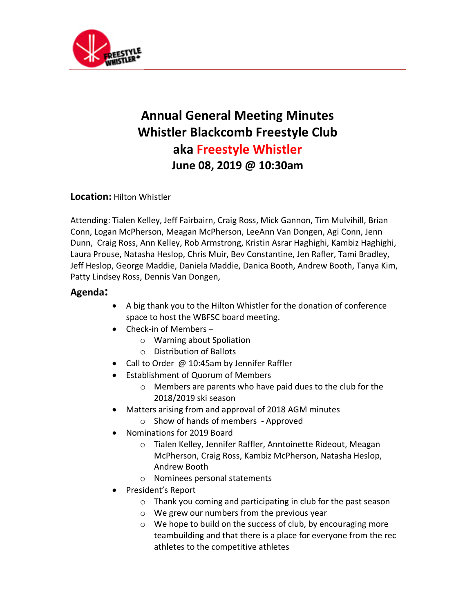

## **Annual General Meeting Minutes Whistler Blackcomb Freestyle Club aka Freestyle Whistler June 08, 2019 @ 10:30am**

## **Location:** Hilton Whistler

Attending: Tialen Kelley, Jeff Fairbairn, Craig Ross, Mick Gannon, Tim Mulvihill, Brian Conn, Logan McPherson, Meagan McPherson, LeeAnn Van Dongen, Agi Conn, Jenn Dunn, Craig Ross, Ann Kelley, Rob Armstrong, Kristin Asrar Haghighi, Kambiz Haghighi, Laura Prouse, Natasha Heslop, Chris Muir, Bev Constantine, Jen Rafler, Tami Bradley, Jeff Heslop, George Maddie, Daniela Maddie, Danica Booth, Andrew Booth, Tanya Kim, Patty Lindsey Ross, Dennis Van Dongen,

## **Agenda:**

- A big thank you to the Hilton Whistler for the donation of conference space to host the WBFSC board meeting.
- Check-in of Members
	- o Warning about Spoliation
	- o Distribution of Ballots
- Call to Order @ 10:45am by Jennifer Raffler
- Establishment of Quorum of Members
	- o Members are parents who have paid dues to the club for the 2018/2019 ski season
- Matters arising from and approval of 2018 AGM minutes
	- o Show of hands of members Approved
- Nominations for 2019 Board
	- o Tialen Kelley, Jennifer Raffler, Anntoinette Rideout, Meagan McPherson, Craig Ross, Kambiz McPherson, Natasha Heslop, Andrew Booth
	- o Nominees personal statements
- President's Report
	- o Thank you coming and participating in club for the past season
	- o We grew our numbers from the previous year
	- o We hope to build on the success of club, by encouraging more teambuilding and that there is a place for everyone from the rec athletes to the competitive athletes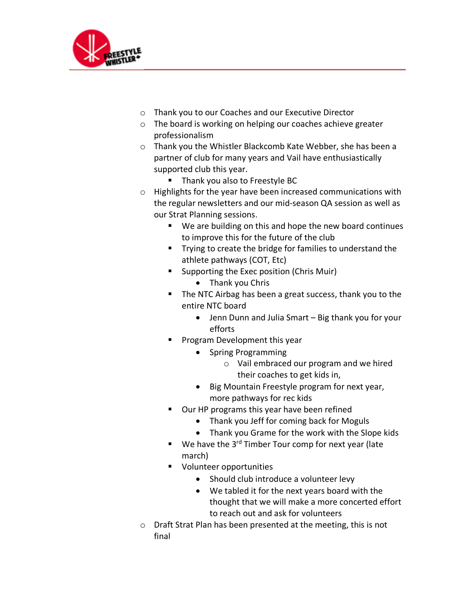

- o Thank you to our Coaches and our Executive Director
- o The board is working on helping our coaches achieve greater professionalism
- o Thank you the Whistler Blackcomb Kate Webber, she has been a partner of club for many years and Vail have enthusiastically supported club this year.
	- Thank you also to Freestyle BC
- o Highlights for the year have been increased communications with the regular newsletters and our mid-season QA session as well as our Strat Planning sessions.
	- We are building on this and hope the new board continues to improve this for the future of the club
	- Trying to create the bridge for families to understand the athlete pathways (COT, Etc)
	- Supporting the Exec position (Chris Muir)
		- Thank you Chris
	- The NTC Airbag has been a great success, thank you to the entire NTC board
		- Jenn Dunn and Julia Smart Big thank you for your efforts
	- § Program Development this year
		- Spring Programming
			- o Vail embraced our program and we hired their coaches to get kids in,
		- Big Mountain Freestyle program for next year, more pathways for rec kids
	- Our HP programs this year have been refined
		- Thank you Jeff for coming back for Moguls
		- Thank you Grame for the work with the Slope kids
	- We have the  $3^{rd}$  Timber Tour comp for next year (late march)
	- Volunteer opportunities
		- Should club introduce a volunteer levy
		- We tabled it for the next years board with the thought that we will make a more concerted effort to reach out and ask for volunteers
- o Draft Strat Plan has been presented at the meeting, this is not final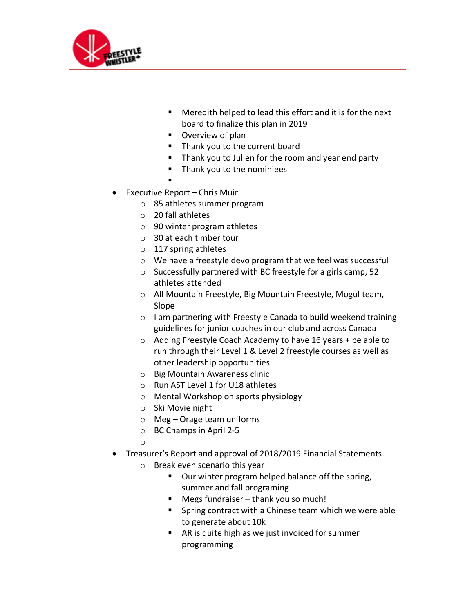

- Meredith helped to lead this effort and it is for the next board to finalize this plan in 2019
- Overview of plan
- Thank you to the current board
- Thank you to Julien for the room and year end party
- § Thank you to the nominiees
- §
- Executive Report Chris Muir
	- o 85 athletes summer program
	- o 20 fall athletes
	- o 90 winter program athletes
	- o 30 at each timber tour
	- o 117 spring athletes
	- o We have a freestyle devo program that we feel was successful
	- o Successfully partnered with BC freestyle for a girls camp, 52 athletes attended
	- o All Mountain Freestyle, Big Mountain Freestyle, Mogul team, Slope
	- o I am partnering with Freestyle Canada to build weekend training guidelines for junior coaches in our club and across Canada
	- o Adding Freestyle Coach Academy to have 16 years + be able to run through their Level 1 & Level 2 freestyle courses as well as other leadership opportunities
	- o Big Mountain Awareness clinic
	- o Run AST Level 1 for U18 athletes
	- o Mental Workshop on sports physiology
	- o Ski Movie night
	- o Meg Orage team uniforms
	- o BC Champs in April 2-5
	- o
- Treasurer's Report and approval of 2018/2019 Financial Statements
	- o Break even scenario this year
		- Our winter program helped balance off the spring, summer and fall programing
		- Megs fundraiser thank you so much!
		- Spring contract with a Chinese team which we were able to generate about 10k
		- AR is quite high as we just invoiced for summer programming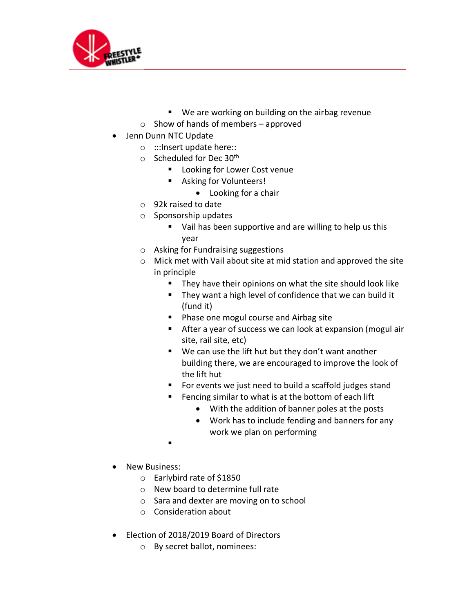

- We are working on building on the airbag revenue
- $\circ$  Show of hands of members approved
- Jenn Dunn NTC Update
	- o :::Insert update here::
	- $\circ$  Scheduled for Dec 30<sup>th</sup>
		- Looking for Lower Cost venue
		- Asking for Volunteers!
			- Looking for a chair
	- o 92k raised to date
	- o Sponsorship updates
		- Vail has been supportive and are willing to help us this year
	- o Asking for Fundraising suggestions
	- o Mick met with Vail about site at mid station and approved the site in principle
		- They have their opinions on what the site should look like
		- They want a high level of confidence that we can build it (fund it)
		- Phase one mogul course and Airbag site
		- After a year of success we can look at expansion (mogul air site, rail site, etc)
		- We can use the lift hut but they don't want another building there, we are encouraged to improve the look of the lift hut
		- For events we just need to build a scaffold judges stand
		- Fencing similar to what is at the bottom of each lift
			- With the addition of banner poles at the posts
			- Work has to include fending and banners for any work we plan on performing
		- §
- New Business:
	- o Earlybird rate of \$1850
	- o New board to determine full rate
	- o Sara and dexter are moving on to school
	- o Consideration about
- Election of 2018/2019 Board of Directors
	- o By secret ballot, nominees: